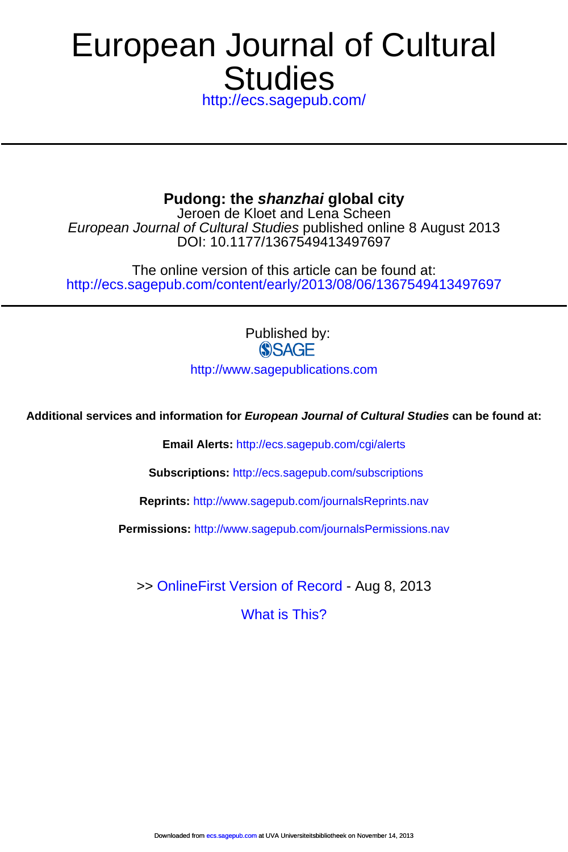# **[Studies](http://ecs.sagepub.com/subscriptions)** European Journal of Cultural

<http://ecs.sagepub.com/>

**Pudong: the shanzhai global city**

DOI: 10.1177/1367549413497697 European Journal of Cultural Studies published online 8 August 2013 Jeroen de Kloet and Lena Scheen

<http://ecs.sagepub.com/content/early/2013/08/06/1367549413497697> The online version of this article can be found at:

> [Published by:](http://online.sagepub.com/site/sphelp/vorhelp.xhtml)<br>
> SAGE <http://www.sagepublications.com>

**Additional services and information for European Journal of Cultural Studies can be found at:**

**Email Alerts:** <http://ecs.sagepub.com/cgi/alerts>

**Subscriptions:** <http://ecs.sagepub.com/subscriptions>

**Reprints:** <http://www.sagepub.com/journalsReprints.nav>

**Permissions:** <http://www.sagepub.com/journalsPermissions.nav>

>> [OnlineFirst Version of Record -](http://ecs.sagepub.com/content/early/2013/08/06/1367549413497697.full.pdf) Aug 8, 2013

[What is This?](http://online.sagepub.com/site/sphelp/vorhelp.xhtml)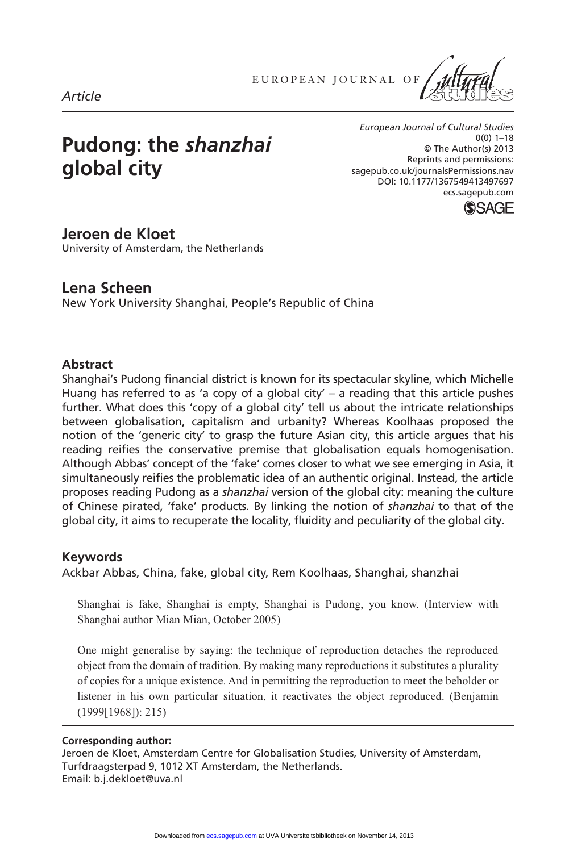EUROPEAN JOURNAL OF



## **Pudong: the** *shanzhai* **global city**

*European Journal of Cultural Studies* 0(0) 1–18 © The Author(s) 2013 Reprints and permissions: sagepub.co.uk/journalsPermissions.nav DOI: 10.1177/1367549413497697 ecs.sagepub.com



#### **Jeroen de Kloet**

University of Amsterdam, the Netherlands

## **Lena Scheen**

New York University Shanghai, People's Republic of China

#### **Abstract**

Shanghai's Pudong financial district is known for its spectacular skyline, which Michelle Huang has referred to as 'a copy of a global city' – a reading that this article pushes further. What does this 'copy of a global city' tell us about the intricate relationships between globalisation, capitalism and urbanity? Whereas Koolhaas proposed the notion of the 'generic city' to grasp the future Asian city, this article argues that his reading reifies the conservative premise that globalisation equals homogenisation. Although Abbas' concept of the 'fake' comes closer to what we see emerging in Asia, it simultaneously reifies the problematic idea of an authentic original. Instead, the article proposes reading Pudong as a *shanzhai* version of the global city: meaning the culture of Chinese pirated, 'fake' products. By linking the notion of *shanzhai* to that of the global city, it aims to recuperate the locality, fluidity and peculiarity of the global city.

#### **Keywords**

Ackbar Abbas, China, fake, global city, Rem Koolhaas, Shanghai, shanzhai

Shanghai is fake, Shanghai is empty, Shanghai is Pudong, you know. (Interview with Shanghai author Mian Mian, October 2005)

One might generalise by saying: the technique of reproduction detaches the reproduced object from the domain of tradition. By making many reproductions it substitutes a plurality of copies for a unique existence. And in permitting the reproduction to meet the beholder or listener in his own particular situation, it reactivates the object reproduced. (Benjamin (1999[1968]): 215)

#### **Corresponding author:**

Jeroen de Kloet, Amsterdam Centre for Globalisation Studies, University of Amsterdam, Turfdraagsterpad 9, 1012 XT Amsterdam, the Netherlands. Email: b.j.dekloet@uva.nl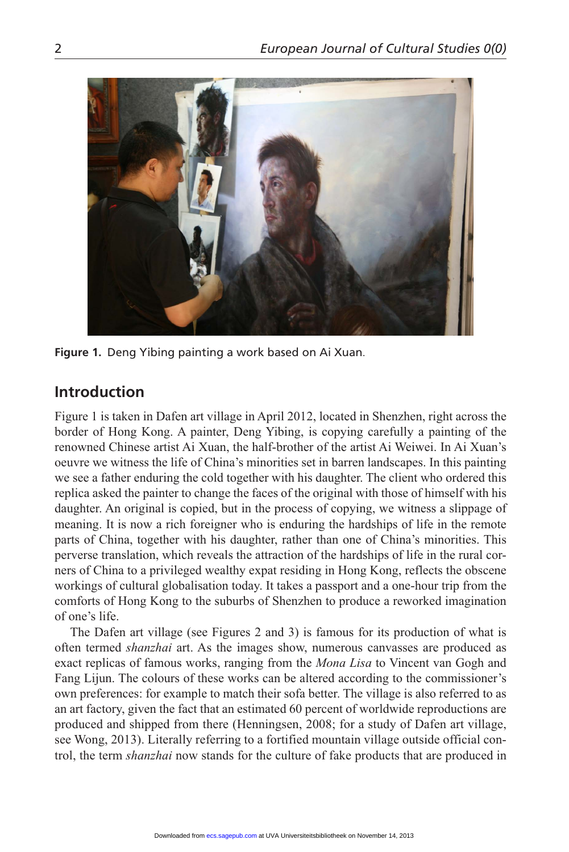

**Figure 1.** Deng Yibing painting a work based on Ai Xuan.

## **Introduction**

Figure 1 is taken in Dafen art village in April 2012, located in Shenzhen, right across the border of Hong Kong. A painter, Deng Yibing, is copying carefully a painting of the renowned Chinese artist Ai Xuan, the half-brother of the artist Ai Weiwei. In Ai Xuan's oeuvre we witness the life of China's minorities set in barren landscapes. In this painting we see a father enduring the cold together with his daughter. The client who ordered this replica asked the painter to change the faces of the original with those of himself with his daughter. An original is copied, but in the process of copying, we witness a slippage of meaning. It is now a rich foreigner who is enduring the hardships of life in the remote parts of China, together with his daughter, rather than one of China's minorities. This perverse translation, which reveals the attraction of the hardships of life in the rural corners of China to a privileged wealthy expat residing in Hong Kong, reflects the obscene workings of cultural globalisation today. It takes a passport and a one-hour trip from the comforts of Hong Kong to the suburbs of Shenzhen to produce a reworked imagination of one's life.

The Dafen art village (see Figures 2 and 3) is famous for its production of what is often termed *shanzhai* art. As the images show, numerous canvasses are produced as exact replicas of famous works, ranging from the *Mona Lisa* to Vincent van Gogh and Fang Lijun. The colours of these works can be altered according to the commissioner's own preferences: for example to match their sofa better. The village is also referred to as an art factory, given the fact that an estimated 60 percent of worldwide reproductions are produced and shipped from there (Henningsen, 2008; for a study of Dafen art village, see Wong, 2013). Literally referring to a fortified mountain village outside official control, the term *shanzhai* now stands for the culture of fake products that are produced in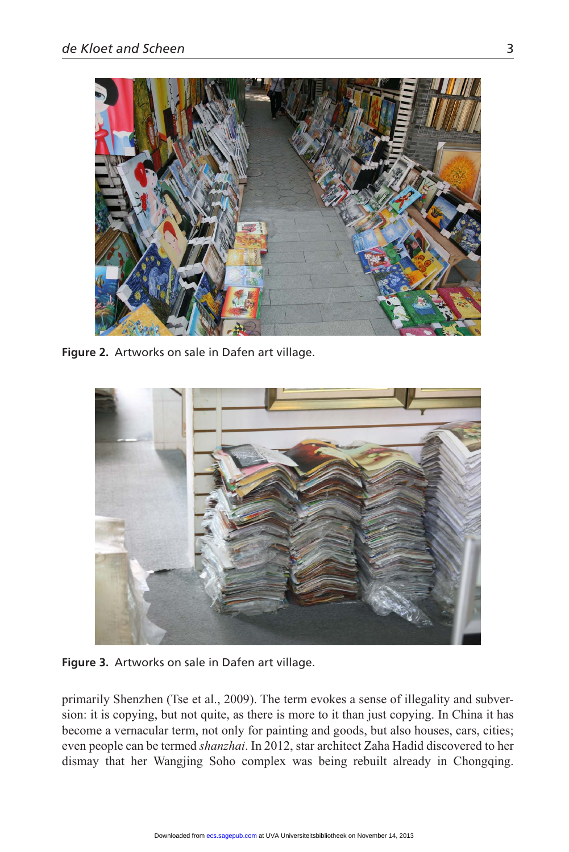

**Figure 2.** Artworks on sale in Dafen art village.



**Figure 3.** Artworks on sale in Dafen art village.

primarily Shenzhen (Tse et al., 2009). The term evokes a sense of illegality and subversion: it is copying, but not quite, as there is more to it than just copying. In China it has become a vernacular term, not only for painting and goods, but also houses, cars, cities; even people can be termed *shanzhai*. In 2012, star architect Zaha Hadid discovered to her dismay that her Wangjing Soho complex was being rebuilt already in Chongqing.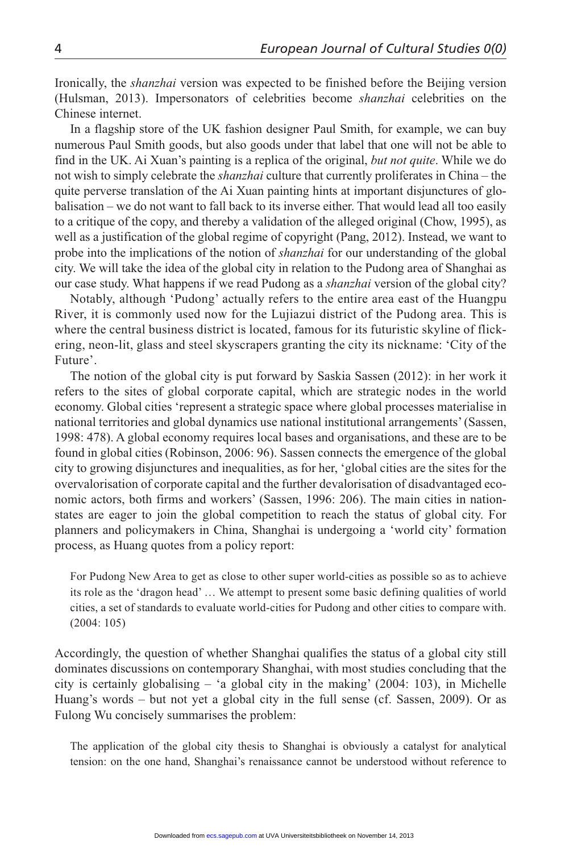Ironically, the *shanzhai* version was expected to be finished before the Beijing version (Hulsman, 2013). Impersonators of celebrities become *shanzhai* celebrities on the Chinese internet.

In a flagship store of the UK fashion designer Paul Smith, for example, we can buy numerous Paul Smith goods, but also goods under that label that one will not be able to find in the UK. Ai Xuan's painting is a replica of the original, *but not quite*. While we do not wish to simply celebrate the *shanzhai* culture that currently proliferates in China – the quite perverse translation of the Ai Xuan painting hints at important disjunctures of globalisation – we do not want to fall back to its inverse either. That would lead all too easily to a critique of the copy, and thereby a validation of the alleged original (Chow, 1995), as well as a justification of the global regime of copyright (Pang, 2012). Instead, we want to probe into the implications of the notion of *shanzhai* for our understanding of the global city. We will take the idea of the global city in relation to the Pudong area of Shanghai as our case study. What happens if we read Pudong as a *shanzhai* version of the global city?

Notably, although 'Pudong' actually refers to the entire area east of the Huangpu River, it is commonly used now for the Lujiazui district of the Pudong area. This is where the central business district is located, famous for its futuristic skyline of flickering, neon-lit, glass and steel skyscrapers granting the city its nickname: 'City of the Future'.

The notion of the global city is put forward by Saskia Sassen (2012): in her work it refers to the sites of global corporate capital, which are strategic nodes in the world economy. Global cities 'represent a strategic space where global processes materialise in national territories and global dynamics use national institutional arrangements' (Sassen, 1998: 478). A global economy requires local bases and organisations, and these are to be found in global cities (Robinson, 2006: 96). Sassen connects the emergence of the global city to growing disjunctures and inequalities, as for her, 'global cities are the sites for the overvalorisation of corporate capital and the further devalorisation of disadvantaged economic actors, both firms and workers' (Sassen, 1996: 206). The main cities in nationstates are eager to join the global competition to reach the status of global city. For planners and policymakers in China, Shanghai is undergoing a 'world city' formation process, as Huang quotes from a policy report:

For Pudong New Area to get as close to other super world-cities as possible so as to achieve its role as the 'dragon head' … We attempt to present some basic defining qualities of world cities, a set of standards to evaluate world-cities for Pudong and other cities to compare with. (2004: 105)

Accordingly, the question of whether Shanghai qualifies the status of a global city still dominates discussions on contemporary Shanghai, with most studies concluding that the city is certainly globalising – 'a global city in the making' (2004: 103), in Michelle Huang's words – but not yet a global city in the full sense (cf. Sassen, 2009). Or as Fulong Wu concisely summarises the problem:

The application of the global city thesis to Shanghai is obviously a catalyst for analytical tension: on the one hand, Shanghai's renaissance cannot be understood without reference to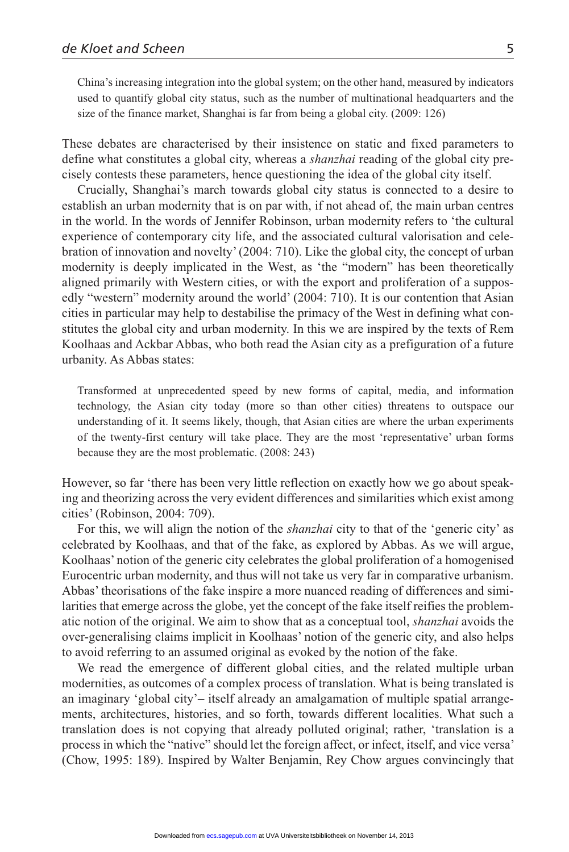China's increasing integration into the global system; on the other hand, measured by indicators used to quantify global city status, such as the number of multinational headquarters and the size of the finance market, Shanghai is far from being a global city. (2009: 126)

These debates are characterised by their insistence on static and fixed parameters to define what constitutes a global city, whereas a *shanzhai* reading of the global city precisely contests these parameters, hence questioning the idea of the global city itself.

Crucially, Shanghai's march towards global city status is connected to a desire to establish an urban modernity that is on par with, if not ahead of, the main urban centres in the world. In the words of Jennifer Robinson, urban modernity refers to 'the cultural experience of contemporary city life, and the associated cultural valorisation and celebration of innovation and novelty' (2004: 710). Like the global city, the concept of urban modernity is deeply implicated in the West, as 'the "modern" has been theoretically aligned primarily with Western cities, or with the export and proliferation of a supposedly "western" modernity around the world' (2004: 710). It is our contention that Asian cities in particular may help to destabilise the primacy of the West in defining what constitutes the global city and urban modernity. In this we are inspired by the texts of Rem Koolhaas and Ackbar Abbas, who both read the Asian city as a prefiguration of a future urbanity. As Abbas states:

Transformed at unprecedented speed by new forms of capital, media, and information technology, the Asian city today (more so than other cities) threatens to outspace our understanding of it. It seems likely, though, that Asian cities are where the urban experiments of the twenty-first century will take place. They are the most 'representative' urban forms because they are the most problematic. (2008: 243)

However, so far 'there has been very little reflection on exactly how we go about speaking and theorizing across the very evident differences and similarities which exist among cities' (Robinson, 2004: 709).

For this, we will align the notion of the *shanzhai* city to that of the 'generic city' as celebrated by Koolhaas, and that of the fake, as explored by Abbas. As we will argue, Koolhaas' notion of the generic city celebrates the global proliferation of a homogenised Eurocentric urban modernity, and thus will not take us very far in comparative urbanism. Abbas' theorisations of the fake inspire a more nuanced reading of differences and similarities that emerge across the globe, yet the concept of the fake itself reifies the problematic notion of the original. We aim to show that as a conceptual tool, *shanzhai* avoids the over-generalising claims implicit in Koolhaas' notion of the generic city, and also helps to avoid referring to an assumed original as evoked by the notion of the fake.

We read the emergence of different global cities, and the related multiple urban modernities, as outcomes of a complex process of translation. What is being translated is an imaginary 'global city'– itself already an amalgamation of multiple spatial arrangements, architectures, histories, and so forth, towards different localities. What such a translation does is not copying that already polluted original; rather, 'translation is a process in which the "native" should let the foreign affect, or infect, itself, and vice versa' (Chow, 1995: 189). Inspired by Walter Benjamin, Rey Chow argues convincingly that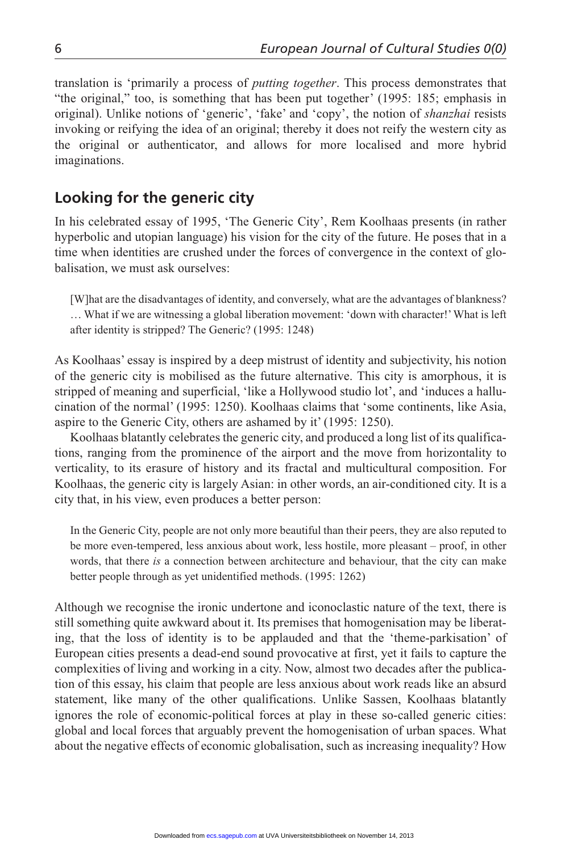translation is 'primarily a process of *putting together*. This process demonstrates that "the original," too, is something that has been put together' (1995: 185; emphasis in original). Unlike notions of 'generic', 'fake' and 'copy', the notion of *shanzhai* resists invoking or reifying the idea of an original; thereby it does not reify the western city as the original or authenticator, and allows for more localised and more hybrid imaginations.

## **Looking for the generic city**

In his celebrated essay of 1995, 'The Generic City', Rem Koolhaas presents (in rather hyperbolic and utopian language) his vision for the city of the future. He poses that in a time when identities are crushed under the forces of convergence in the context of globalisation, we must ask ourselves:

[W]hat are the disadvantages of identity, and conversely, what are the advantages of blankness? … What if we are witnessing a global liberation movement: 'down with character!' What is left after identity is stripped? The Generic? (1995: 1248)

As Koolhaas' essay is inspired by a deep mistrust of identity and subjectivity, his notion of the generic city is mobilised as the future alternative. This city is amorphous, it is stripped of meaning and superficial, 'like a Hollywood studio lot', and 'induces a hallucination of the normal' (1995: 1250). Koolhaas claims that 'some continents, like Asia, aspire to the Generic City, others are ashamed by it' (1995: 1250).

Koolhaas blatantly celebrates the generic city, and produced a long list of its qualifications, ranging from the prominence of the airport and the move from horizontality to verticality, to its erasure of history and its fractal and multicultural composition. For Koolhaas, the generic city is largely Asian: in other words, an air-conditioned city. It is a city that, in his view, even produces a better person:

In the Generic City, people are not only more beautiful than their peers, they are also reputed to be more even-tempered, less anxious about work, less hostile, more pleasant – proof, in other words, that there *is* a connection between architecture and behaviour, that the city can make better people through as yet unidentified methods. (1995: 1262)

Although we recognise the ironic undertone and iconoclastic nature of the text, there is still something quite awkward about it. Its premises that homogenisation may be liberating, that the loss of identity is to be applauded and that the 'theme-parkisation' of European cities presents a dead-end sound provocative at first, yet it fails to capture the complexities of living and working in a city. Now, almost two decades after the publication of this essay, his claim that people are less anxious about work reads like an absurd statement, like many of the other qualifications. Unlike Sassen, Koolhaas blatantly ignores the role of economic-political forces at play in these so-called generic cities: global and local forces that arguably prevent the homogenisation of urban spaces. What about the negative effects of economic globalisation, such as increasing inequality? How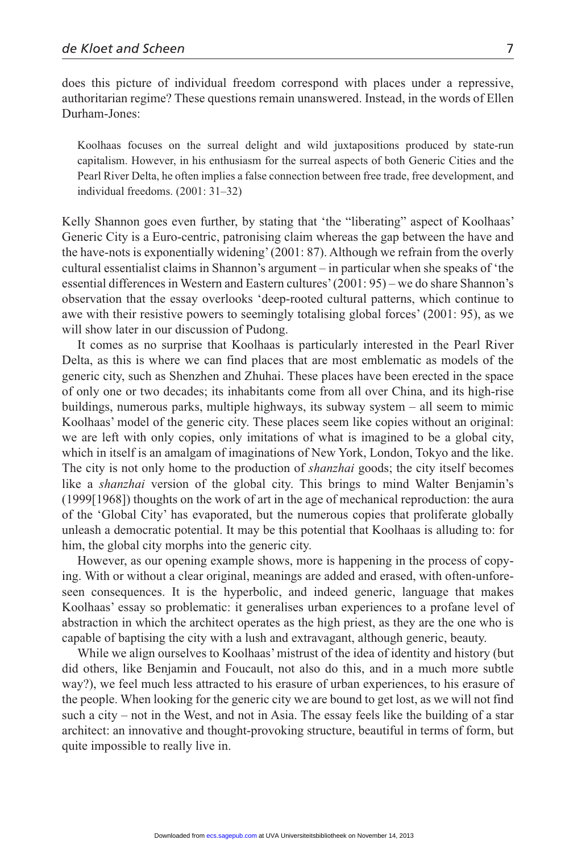does this picture of individual freedom correspond with places under a repressive, authoritarian regime? These questions remain unanswered. Instead, in the words of Ellen Durham-Jones:

Koolhaas focuses on the surreal delight and wild juxtapositions produced by state-run capitalism. However, in his enthusiasm for the surreal aspects of both Generic Cities and the Pearl River Delta, he often implies a false connection between free trade, free development, and individual freedoms. (2001: 31–32)

Kelly Shannon goes even further, by stating that 'the "liberating" aspect of Koolhaas' Generic City is a Euro-centric, patronising claim whereas the gap between the have and the have-nots is exponentially widening' (2001: 87). Although we refrain from the overly cultural essentialist claims in Shannon's argument – in particular when she speaks of 'the essential differences in Western and Eastern cultures' (2001: 95) – we do share Shannon's observation that the essay overlooks 'deep-rooted cultural patterns, which continue to awe with their resistive powers to seemingly totalising global forces' (2001: 95), as we will show later in our discussion of Pudong.

It comes as no surprise that Koolhaas is particularly interested in the Pearl River Delta, as this is where we can find places that are most emblematic as models of the generic city, such as Shenzhen and Zhuhai. These places have been erected in the space of only one or two decades; its inhabitants come from all over China, and its high-rise buildings, numerous parks, multiple highways, its subway system – all seem to mimic Koolhaas' model of the generic city. These places seem like copies without an original: we are left with only copies, only imitations of what is imagined to be a global city, which in itself is an amalgam of imaginations of New York, London, Tokyo and the like. The city is not only home to the production of *shanzhai* goods; the city itself becomes like a *shanzhai* version of the global city. This brings to mind Walter Benjamin's (1999[1968]) thoughts on the work of art in the age of mechanical reproduction: the aura of the 'Global City' has evaporated, but the numerous copies that proliferate globally unleash a democratic potential. It may be this potential that Koolhaas is alluding to: for him, the global city morphs into the generic city.

However, as our opening example shows, more is happening in the process of copying. With or without a clear original, meanings are added and erased, with often-unforeseen consequences. It is the hyperbolic, and indeed generic, language that makes Koolhaas' essay so problematic: it generalises urban experiences to a profane level of abstraction in which the architect operates as the high priest, as they are the one who is capable of baptising the city with a lush and extravagant, although generic, beauty.

While we align ourselves to Koolhaas' mistrust of the idea of identity and history (but did others, like Benjamin and Foucault, not also do this, and in a much more subtle way?), we feel much less attracted to his erasure of urban experiences, to his erasure of the people. When looking for the generic city we are bound to get lost, as we will not find such a city – not in the West, and not in Asia. The essay feels like the building of a star architect: an innovative and thought-provoking structure, beautiful in terms of form, but quite impossible to really live in.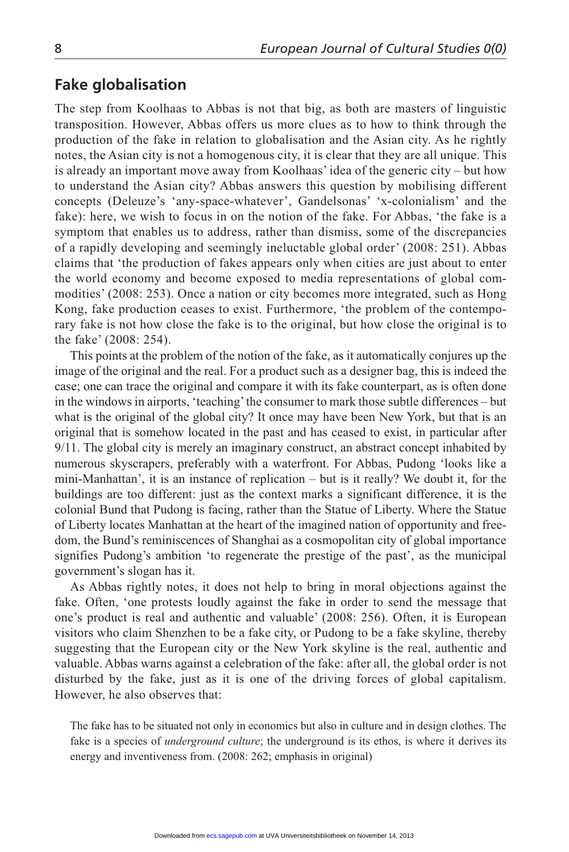## **Fake globalisation**

The step from Koolhaas to Abbas is not that big, as both are masters of linguistic transposition. However, Abbas offers us more clues as to how to think through the production of the fake in relation to globalisation and the Asian city. As he rightly notes, the Asian city is not a homogenous city, it is clear that they are all unique. This is already an important move away from Koolhaas' idea of the generic city – but how to understand the Asian city? Abbas answers this question by mobilising different concepts (Deleuze's 'any-space-whatever', Gandelsonas' 'x-colonialism' and the fake): here, we wish to focus in on the notion of the fake. For Abbas, 'the fake is a symptom that enables us to address, rather than dismiss, some of the discrepancies of a rapidly developing and seemingly ineluctable global order' (2008: 251). Abbas claims that 'the production of fakes appears only when cities are just about to enter the world economy and become exposed to media representations of global commodities' (2008: 253). Once a nation or city becomes more integrated, such as Hong Kong, fake production ceases to exist. Furthermore, 'the problem of the contemporary fake is not how close the fake is to the original, but how close the original is to the fake' (2008: 254).

This points at the problem of the notion of the fake, as it automatically conjures up the image of the original and the real. For a product such as a designer bag, this is indeed the case; one can trace the original and compare it with its fake counterpart, as is often done in the windows in airports, 'teaching' the consumer to mark those subtle differences – but what is the original of the global city? It once may have been New York, but that is an original that is somehow located in the past and has ceased to exist, in particular after 9/11. The global city is merely an imaginary construct, an abstract concept inhabited by numerous skyscrapers, preferably with a waterfront. For Abbas, Pudong 'looks like a mini-Manhattan', it is an instance of replication – but is it really? We doubt it, for the buildings are too different: just as the context marks a significant difference, it is the colonial Bund that Pudong is facing, rather than the Statue of Liberty. Where the Statue of Liberty locates Manhattan at the heart of the imagined nation of opportunity and freedom, the Bund's reminiscences of Shanghai as a cosmopolitan city of global importance signifies Pudong's ambition 'to regenerate the prestige of the past', as the municipal government's slogan has it.

As Abbas rightly notes, it does not help to bring in moral objections against the fake. Often, 'one protests loudly against the fake in order to send the message that one's product is real and authentic and valuable' (2008: 256). Often, it is European visitors who claim Shenzhen to be a fake city, or Pudong to be a fake skyline, thereby suggesting that the European city or the New York skyline is the real, authentic and valuable. Abbas warns against a celebration of the fake: after all, the global order is not disturbed by the fake, just as it is one of the driving forces of global capitalism. However, he also observes that:

The fake has to be situated not only in economics but also in culture and in design clothes. The fake is a species of *underground culture*; the underground is its ethos, is where it derives its energy and inventiveness from. (2008: 262; emphasis in original)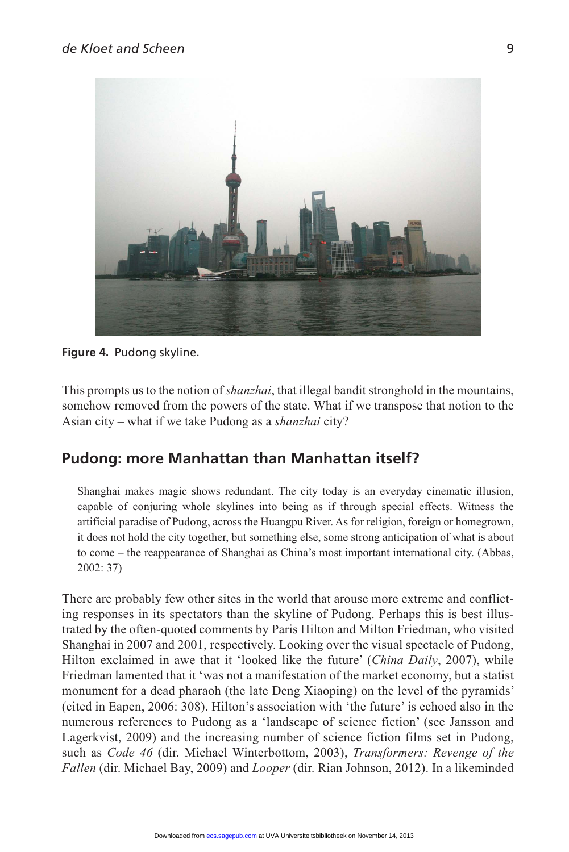

**Figure 4.** Pudong skyline.

This prompts us to the notion of *shanzhai*, that illegal bandit stronghold in the mountains, somehow removed from the powers of the state. What if we transpose that notion to the Asian city – what if we take Pudong as a *shanzhai* city?

## **Pudong: more Manhattan than Manhattan itself?**

Shanghai makes magic shows redundant. The city today is an everyday cinematic illusion, capable of conjuring whole skylines into being as if through special effects. Witness the artificial paradise of Pudong, across the Huangpu River. As for religion, foreign or homegrown, it does not hold the city together, but something else, some strong anticipation of what is about to come – the reappearance of Shanghai as China's most important international city. (Abbas, 2002: 37)

There are probably few other sites in the world that arouse more extreme and conflicting responses in its spectators than the skyline of Pudong. Perhaps this is best illustrated by the often-quoted comments by Paris Hilton and Milton Friedman, who visited Shanghai in 2007 and 2001, respectively. Looking over the visual spectacle of Pudong, Hilton exclaimed in awe that it 'looked like the future' (*China Daily*, 2007), while Friedman lamented that it 'was not a manifestation of the market economy, but a statist monument for a dead pharaoh (the late Deng Xiaoping) on the level of the pyramids' (cited in Eapen, 2006: 308). Hilton's association with 'the future' is echoed also in the numerous references to Pudong as a 'landscape of science fiction' (see Jansson and Lagerkvist, 2009) and the increasing number of science fiction films set in Pudong, such as *Code 46* (dir. Michael Winterbottom, 2003), *Transformers: Revenge of the Fallen* (dir. Michael Bay, 2009) and *Looper* (dir. Rian Johnson, 2012). In a likeminded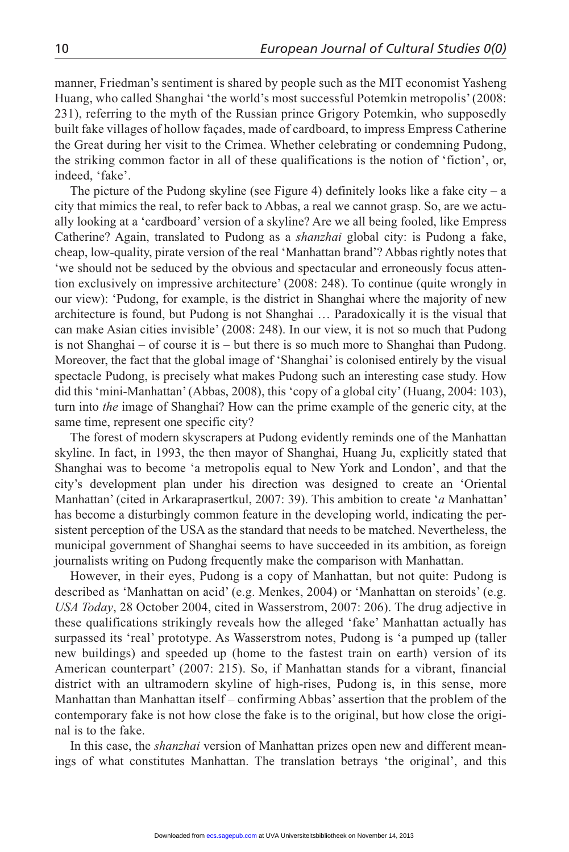manner, Friedman's sentiment is shared by people such as the MIT economist Yasheng Huang, who called Shanghai 'the world's most successful Potemkin metropolis' (2008: 231), referring to the myth of the Russian prince Grigory Potemkin, who supposedly built fake villages of hollow façades, made of cardboard, to impress Empress Catherine the Great during her visit to the Crimea. Whether celebrating or condemning Pudong, the striking common factor in all of these qualifications is the notion of 'fiction', or, indeed, 'fake'.

The picture of the Pudong skyline (see Figure 4) definitely looks like a fake city – a city that mimics the real, to refer back to Abbas, a real we cannot grasp. So, are we actually looking at a 'cardboard' version of a skyline? Are we all being fooled, like Empress Catherine? Again, translated to Pudong as a *shanzhai* global city: is Pudong a fake, cheap, low-quality, pirate version of the real 'Manhattan brand'? Abbas rightly notes that 'we should not be seduced by the obvious and spectacular and erroneously focus attention exclusively on impressive architecture' (2008: 248). To continue (quite wrongly in our view): 'Pudong, for example, is the district in Shanghai where the majority of new architecture is found, but Pudong is not Shanghai … Paradoxically it is the visual that can make Asian cities invisible' (2008: 248). In our view, it is not so much that Pudong is not Shanghai – of course it is – but there is so much more to Shanghai than Pudong. Moreover, the fact that the global image of 'Shanghai' is colonised entirely by the visual spectacle Pudong, is precisely what makes Pudong such an interesting case study. How did this 'mini-Manhattan' (Abbas, 2008), this 'copy of a global city' (Huang, 2004: 103), turn into *the* image of Shanghai? How can the prime example of the generic city, at the same time, represent one specific city?

The forest of modern skyscrapers at Pudong evidently reminds one of the Manhattan skyline. In fact, in 1993, the then mayor of Shanghai, Huang Ju, explicitly stated that Shanghai was to become 'a metropolis equal to New York and London', and that the city's development plan under his direction was designed to create an 'Oriental Manhattan' (cited in Arkaraprasertkul, 2007: 39). This ambition to create '*a* Manhattan' has become a disturbingly common feature in the developing world, indicating the persistent perception of the USA as the standard that needs to be matched. Nevertheless, the municipal government of Shanghai seems to have succeeded in its ambition, as foreign journalists writing on Pudong frequently make the comparison with Manhattan.

However, in their eyes, Pudong is a copy of Manhattan, but not quite: Pudong is described as 'Manhattan on acid' (e.g. Menkes, 2004) or 'Manhattan on steroids' (e.g. *USA Today*, 28 October 2004, cited in Wasserstrom, 2007: 206). The drug adjective in these qualifications strikingly reveals how the alleged 'fake' Manhattan actually has surpassed its 'real' prototype. As Wasserstrom notes, Pudong is 'a pumped up (taller new buildings) and speeded up (home to the fastest train on earth) version of its American counterpart' (2007: 215). So, if Manhattan stands for a vibrant, financial district with an ultramodern skyline of high-rises, Pudong is, in this sense, more Manhattan than Manhattan itself – confirming Abbas' assertion that the problem of the contemporary fake is not how close the fake is to the original, but how close the original is to the fake.

In this case, the *shanzhai* version of Manhattan prizes open new and different meanings of what constitutes Manhattan. The translation betrays 'the original', and this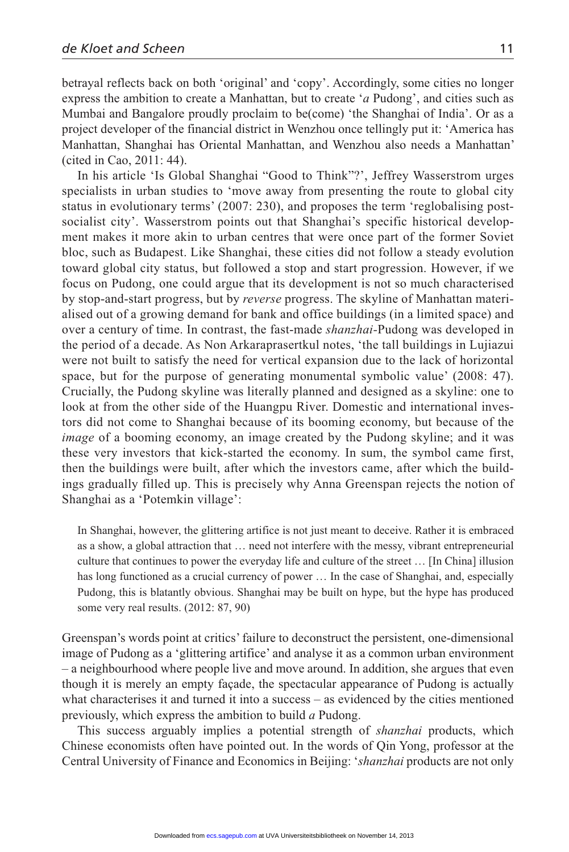betrayal reflects back on both 'original' and 'copy'. Accordingly, some cities no longer express the ambition to create a Manhattan, but to create '*a* Pudong', and cities such as Mumbai and Bangalore proudly proclaim to be(come) 'the Shanghai of India'. Or as a project developer of the financial district in Wenzhou once tellingly put it: 'America has Manhattan, Shanghai has Oriental Manhattan, and Wenzhou also needs a Manhattan' (cited in Cao, 2011: 44).

In his article 'Is Global Shanghai "Good to Think"?', Jeffrey Wasserstrom urges specialists in urban studies to 'move away from presenting the route to global city status in evolutionary terms' (2007: 230), and proposes the term 'reglobalising postsocialist city'. Wasserstrom points out that Shanghai's specific historical development makes it more akin to urban centres that were once part of the former Soviet bloc, such as Budapest. Like Shanghai, these cities did not follow a steady evolution toward global city status, but followed a stop and start progression. However, if we focus on Pudong, one could argue that its development is not so much characterised by stop-and-start progress, but by *reverse* progress. The skyline of Manhattan materialised out of a growing demand for bank and office buildings (in a limited space) and over a century of time. In contrast, the fast-made *shanzhai-*Pudong was developed in the period of a decade. As Non Arkaraprasertkul notes, 'the tall buildings in Lujiazui were not built to satisfy the need for vertical expansion due to the lack of horizontal space, but for the purpose of generating monumental symbolic value' (2008: 47). Crucially, the Pudong skyline was literally planned and designed as a skyline: one to look at from the other side of the Huangpu River. Domestic and international investors did not come to Shanghai because of its booming economy, but because of the *image* of a booming economy, an image created by the Pudong skyline; and it was these very investors that kick-started the economy. In sum, the symbol came first, then the buildings were built, after which the investors came, after which the buildings gradually filled up. This is precisely why Anna Greenspan rejects the notion of Shanghai as a 'Potemkin village':

In Shanghai, however, the glittering artifice is not just meant to deceive. Rather it is embraced as a show, a global attraction that … need not interfere with the messy, vibrant entrepreneurial culture that continues to power the everyday life and culture of the street … [In China] illusion has long functioned as a crucial currency of power ... In the case of Shanghai, and, especially Pudong, this is blatantly obvious. Shanghai may be built on hype, but the hype has produced some very real results. (2012: 87, 90)

Greenspan's words point at critics' failure to deconstruct the persistent, one-dimensional image of Pudong as a 'glittering artifice' and analyse it as a common urban environment – a neighbourhood where people live and move around. In addition, she argues that even though it is merely an empty façade, the spectacular appearance of Pudong is actually what characterises it and turned it into a success – as evidenced by the cities mentioned previously, which express the ambition to build *a* Pudong.

This success arguably implies a potential strength of *shanzhai* products, which Chinese economists often have pointed out. In the words of Qin Yong, professor at the Central University of Finance and Economics in Beijing: '*shanzhai* products are not only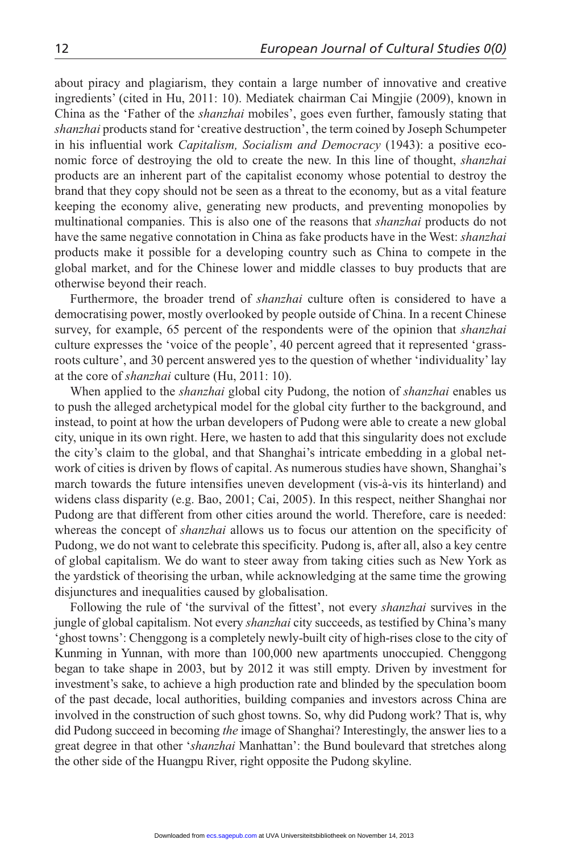about piracy and plagiarism, they contain a large number of innovative and creative ingredients' (cited in Hu, 2011: 10). Mediatek chairman Cai Mingjie (2009), known in China as the 'Father of the *shanzhai* mobiles', goes even further, famously stating that *shanzhai* products stand for 'creative destruction', the term coined by Joseph Schumpeter in his influential work *Capitalism, Socialism and Democracy* (1943): a positive economic force of destroying the old to create the new. In this line of thought, *shanzhai* products are an inherent part of the capitalist economy whose potential to destroy the brand that they copy should not be seen as a threat to the economy, but as a vital feature keeping the economy alive, generating new products, and preventing monopolies by multinational companies. This is also one of the reasons that *shanzhai* products do not have the same negative connotation in China as fake products have in the West: *shanzhai* products make it possible for a developing country such as China to compete in the global market, and for the Chinese lower and middle classes to buy products that are otherwise beyond their reach.

Furthermore, the broader trend of *shanzhai* culture often is considered to have a democratising power, mostly overlooked by people outside of China. In a recent Chinese survey, for example, 65 percent of the respondents were of the opinion that *shanzhai* culture expresses the 'voice of the people', 40 percent agreed that it represented 'grassroots culture', and 30 percent answered yes to the question of whether 'individuality' lay at the core of *shanzhai* culture (Hu, 2011: 10).

When applied to the *shanzhai* global city Pudong, the notion of *shanzhai* enables us to push the alleged archetypical model for the global city further to the background, and instead, to point at how the urban developers of Pudong were able to create a new global city, unique in its own right. Here, we hasten to add that this singularity does not exclude the city's claim to the global, and that Shanghai's intricate embedding in a global network of cities is driven by flows of capital. As numerous studies have shown, Shanghai's march towards the future intensifies uneven development (vis-à-vis its hinterland) and widens class disparity (e.g. Bao, 2001; Cai, 2005). In this respect, neither Shanghai nor Pudong are that different from other cities around the world. Therefore, care is needed: whereas the concept of *shanzhai* allows us to focus our attention on the specificity of Pudong, we do not want to celebrate this specificity. Pudong is, after all, also a key centre of global capitalism. We do want to steer away from taking cities such as New York as the yardstick of theorising the urban, while acknowledging at the same time the growing disjunctures and inequalities caused by globalisation.

Following the rule of 'the survival of the fittest', not every *shanzhai* survives in the jungle of global capitalism. Not every *shanzhai* city succeeds, as testified by China's many 'ghost towns': Chenggong is a completely newly-built city of high-rises close to the city of Kunming in Yunnan, with more than 100,000 new apartments unoccupied. Chenggong began to take shape in 2003, but by 2012 it was still empty. Driven by investment for investment's sake, to achieve a high production rate and blinded by the speculation boom of the past decade, local authorities, building companies and investors across China are involved in the construction of such ghost towns. So, why did Pudong work? That is, why did Pudong succeed in becoming *the* image of Shanghai? Interestingly, the answer lies to a great degree in that other '*shanzhai* Manhattan': the Bund boulevard that stretches along the other side of the Huangpu River, right opposite the Pudong skyline.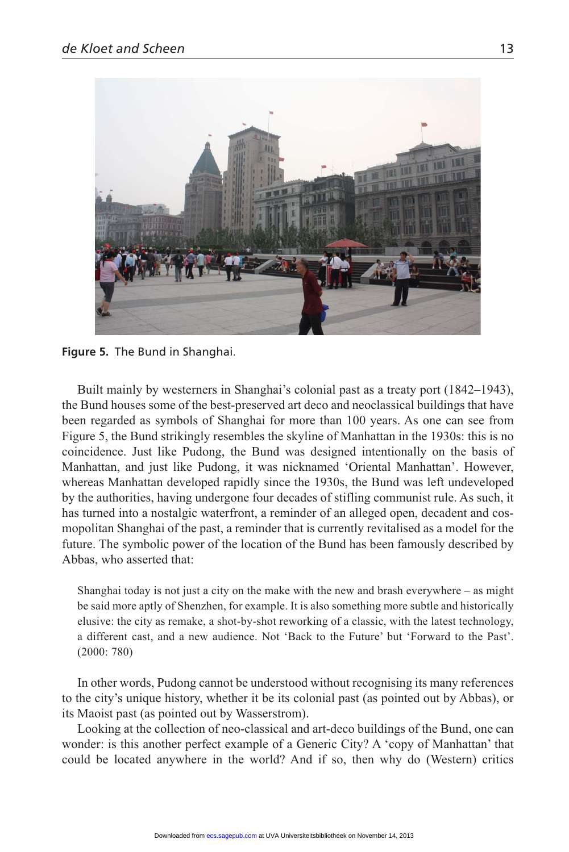

**Figure 5.** The Bund in Shanghai.

Built mainly by westerners in Shanghai's colonial past as a treaty port (1842–1943), the Bund houses some of the best-preserved art deco and neoclassical buildings that have been regarded as symbols of Shanghai for more than 100 years. As one can see from Figure 5, the Bund strikingly resembles the skyline of Manhattan in the 1930s: this is no coincidence. Just like Pudong, the Bund was designed intentionally on the basis of Manhattan, and just like Pudong, it was nicknamed 'Oriental Manhattan'. However, whereas Manhattan developed rapidly since the 1930s, the Bund was left undeveloped by the authorities, having undergone four decades of stifling communist rule. As such, it has turned into a nostalgic waterfront, a reminder of an alleged open, decadent and cosmopolitan Shanghai of the past, a reminder that is currently revitalised as a model for the future. The symbolic power of the location of the Bund has been famously described by Abbas, who asserted that:

Shanghai today is not just a city on the make with the new and brash everywhere  $-$  as might be said more aptly of Shenzhen, for example. It is also something more subtle and historically elusive: the city as remake, a shot-by-shot reworking of a classic, with the latest technology, a different cast, and a new audience. Not 'Back to the Future' but 'Forward to the Past'. (2000: 780)

In other words, Pudong cannot be understood without recognising its many references to the city's unique history, whether it be its colonial past (as pointed out by Abbas), or its Maoist past (as pointed out by Wasserstrom).

Looking at the collection of neo-classical and art-deco buildings of the Bund, one can wonder: is this another perfect example of a Generic City? A 'copy of Manhattan' that could be located anywhere in the world? And if so, then why do (Western) critics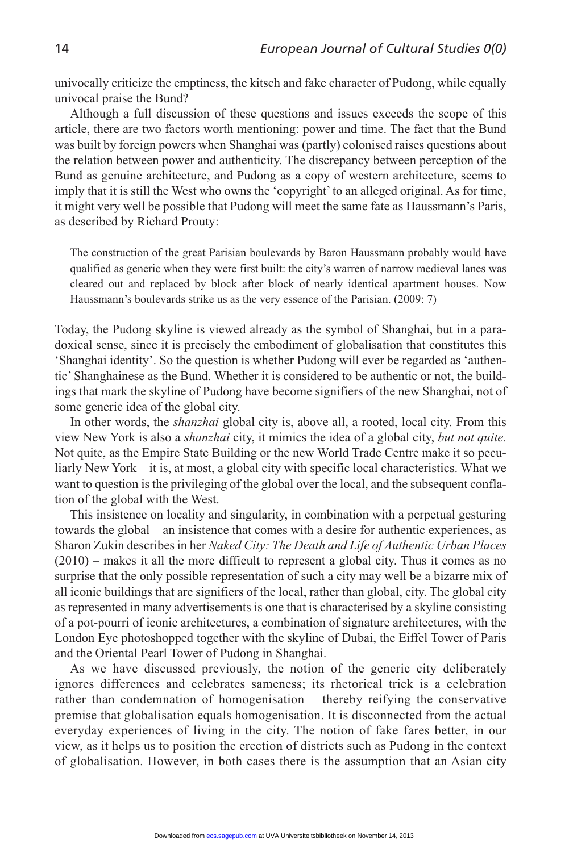univocally criticize the emptiness, the kitsch and fake character of Pudong, while equally univocal praise the Bund?

Although a full discussion of these questions and issues exceeds the scope of this article, there are two factors worth mentioning: power and time. The fact that the Bund was built by foreign powers when Shanghai was (partly) colonised raises questions about the relation between power and authenticity. The discrepancy between perception of the Bund as genuine architecture, and Pudong as a copy of western architecture, seems to imply that it is still the West who owns the 'copyright' to an alleged original. As for time, it might very well be possible that Pudong will meet the same fate as Haussmann's Paris, as described by Richard Prouty:

The construction of the great Parisian boulevards by Baron Haussmann probably would have qualified as generic when they were first built: the city's warren of narrow medieval lanes was cleared out and replaced by block after block of nearly identical apartment houses. Now Haussmann's boulevards strike us as the very essence of the Parisian. (2009: 7)

Today, the Pudong skyline is viewed already as the symbol of Shanghai, but in a paradoxical sense, since it is precisely the embodiment of globalisation that constitutes this 'Shanghai identity'. So the question is whether Pudong will ever be regarded as 'authentic' Shanghainese as the Bund. Whether it is considered to be authentic or not, the buildings that mark the skyline of Pudong have become signifiers of the new Shanghai, not of some generic idea of the global city.

In other words, the *shanzhai* global city is, above all, a rooted, local city. From this view New York is also a *shanzhai* city, it mimics the idea of a global city, *but not quite.* Not quite, as the Empire State Building or the new World Trade Centre make it so peculiarly New York – it is, at most, a global city with specific local characteristics. What we want to question is the privileging of the global over the local, and the subsequent conflation of the global with the West.

This insistence on locality and singularity, in combination with a perpetual gesturing towards the global – an insistence that comes with a desire for authentic experiences, as Sharon Zukin describes in her *Naked City: The Death and Life of Authentic Urban Places* (2010) – makes it all the more difficult to represent a global city. Thus it comes as no surprise that the only possible representation of such a city may well be a bizarre mix of all iconic buildings that are signifiers of the local, rather than global, city. The global city as represented in many advertisements is one that is characterised by a skyline consisting of a pot-pourri of iconic architectures, a combination of signature architectures, with the London Eye photoshopped together with the skyline of Dubai, the Eiffel Tower of Paris and the Oriental Pearl Tower of Pudong in Shanghai.

As we have discussed previously, the notion of the generic city deliberately ignores differences and celebrates sameness; its rhetorical trick is a celebration rather than condemnation of homogenisation – thereby reifying the conservative premise that globalisation equals homogenisation. It is disconnected from the actual everyday experiences of living in the city. The notion of fake fares better, in our view, as it helps us to position the erection of districts such as Pudong in the context of globalisation. However, in both cases there is the assumption that an Asian city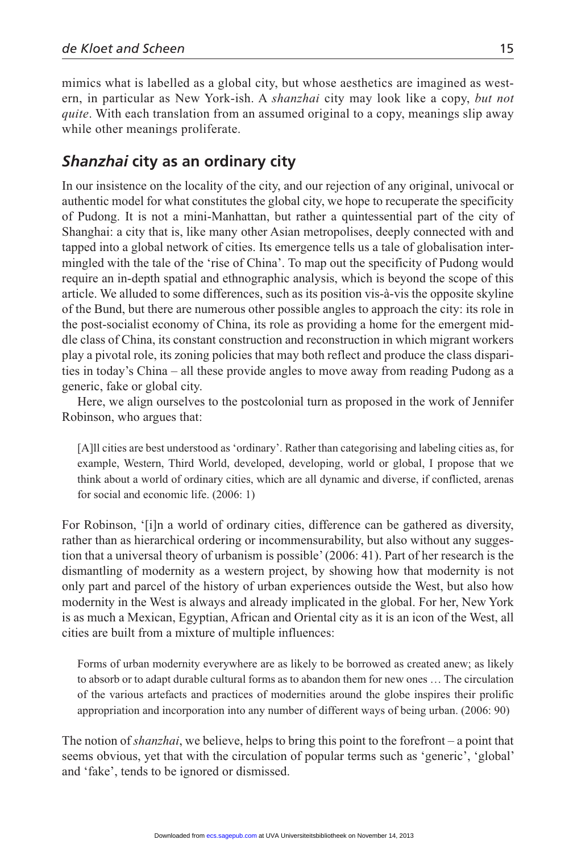mimics what is labelled as a global city, but whose aesthetics are imagined as western, in particular as New York-ish. A *shanzhai* city may look like a copy, *but not quite*. With each translation from an assumed original to a copy, meanings slip away while other meanings proliferate.

## *Shanzhai* **city as an ordinary city**

In our insistence on the locality of the city, and our rejection of any original, univocal or authentic model for what constitutes the global city, we hope to recuperate the specificity of Pudong. It is not a mini-Manhattan, but rather a quintessential part of the city of Shanghai: a city that is, like many other Asian metropolises, deeply connected with and tapped into a global network of cities. Its emergence tells us a tale of globalisation intermingled with the tale of the 'rise of China'. To map out the specificity of Pudong would require an in-depth spatial and ethnographic analysis, which is beyond the scope of this article. We alluded to some differences, such as its position vis-à-vis the opposite skyline of the Bund, but there are numerous other possible angles to approach the city: its role in the post-socialist economy of China, its role as providing a home for the emergent middle class of China, its constant construction and reconstruction in which migrant workers play a pivotal role, its zoning policies that may both reflect and produce the class disparities in today's China – all these provide angles to move away from reading Pudong as a generic, fake or global city.

Here, we align ourselves to the postcolonial turn as proposed in the work of Jennifer Robinson, who argues that:

[A]ll cities are best understood as 'ordinary'. Rather than categorising and labeling cities as, for example, Western, Third World, developed, developing, world or global, I propose that we think about a world of ordinary cities, which are all dynamic and diverse, if conflicted, arenas for social and economic life. (2006: 1)

For Robinson, '[i]n a world of ordinary cities, difference can be gathered as diversity, rather than as hierarchical ordering or incommensurability, but also without any suggestion that a universal theory of urbanism is possible' (2006: 41). Part of her research is the dismantling of modernity as a western project, by showing how that modernity is not only part and parcel of the history of urban experiences outside the West, but also how modernity in the West is always and already implicated in the global. For her, New York is as much a Mexican, Egyptian, African and Oriental city as it is an icon of the West, all cities are built from a mixture of multiple influences:

Forms of urban modernity everywhere are as likely to be borrowed as created anew; as likely to absorb or to adapt durable cultural forms as to abandon them for new ones … The circulation of the various artefacts and practices of modernities around the globe inspires their prolific appropriation and incorporation into any number of different ways of being urban. (2006: 90)

The notion of *shanzhai*, we believe, helps to bring this point to the forefront – a point that seems obvious, yet that with the circulation of popular terms such as 'generic', 'global' and 'fake', tends to be ignored or dismissed.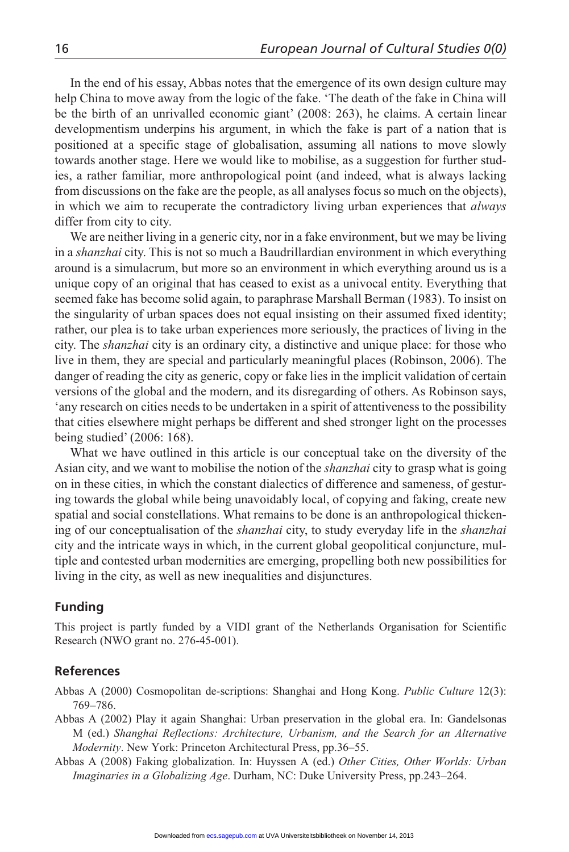In the end of his essay, Abbas notes that the emergence of its own design culture may help China to move away from the logic of the fake. 'The death of the fake in China will be the birth of an unrivalled economic giant' (2008: 263), he claims. A certain linear developmentism underpins his argument, in which the fake is part of a nation that is positioned at a specific stage of globalisation, assuming all nations to move slowly towards another stage. Here we would like to mobilise, as a suggestion for further studies, a rather familiar, more anthropological point (and indeed, what is always lacking from discussions on the fake are the people, as all analyses focus so much on the objects), in which we aim to recuperate the contradictory living urban experiences that *always* differ from city to city.

We are neither living in a generic city, nor in a fake environment, but we may be living in a *shanzhai* city. This is not so much a Baudrillardian environment in which everything around is a simulacrum, but more so an environment in which everything around us is a unique copy of an original that has ceased to exist as a univocal entity. Everything that seemed fake has become solid again, to paraphrase Marshall Berman (1983). To insist on the singularity of urban spaces does not equal insisting on their assumed fixed identity; rather, our plea is to take urban experiences more seriously, the practices of living in the city. The *shanzhai* city is an ordinary city, a distinctive and unique place: for those who live in them, they are special and particularly meaningful places (Robinson, 2006). The danger of reading the city as generic, copy or fake lies in the implicit validation of certain versions of the global and the modern, and its disregarding of others. As Robinson says, 'any research on cities needs to be undertaken in a spirit of attentiveness to the possibility that cities elsewhere might perhaps be different and shed stronger light on the processes being studied' (2006: 168).

What we have outlined in this article is our conceptual take on the diversity of the Asian city, and we want to mobilise the notion of the *shanzhai* city to grasp what is going on in these cities, in which the constant dialectics of difference and sameness, of gesturing towards the global while being unavoidably local, of copying and faking, create new spatial and social constellations. What remains to be done is an anthropological thickening of our conceptualisation of the *shanzhai* city, to study everyday life in the *shanzhai* city and the intricate ways in which, in the current global geopolitical conjuncture, multiple and contested urban modernities are emerging, propelling both new possibilities for living in the city, as well as new inequalities and disjunctures.

#### **Funding**

This project is partly funded by a VIDI grant of the Netherlands Organisation for Scientific Research (NWO grant no. 276-45-001).

#### **References**

- Abbas A (2000) Cosmopolitan de-scriptions: Shanghai and Hong Kong. *Public Culture* 12(3): 769–786.
- Abbas A (2002) Play it again Shanghai: Urban preservation in the global era. In: Gandelsonas M (ed.) *Shanghai Reflections: Architecture, Urbanism, and the Search for an Alternative Modernity*. New York: Princeton Architectural Press, pp.36–55.
- Abbas A (2008) Faking globalization. In: Huyssen A (ed.) *Other Cities, Other Worlds: Urban Imaginaries in a Globalizing Age*. Durham, NC: Duke University Press, pp.243–264.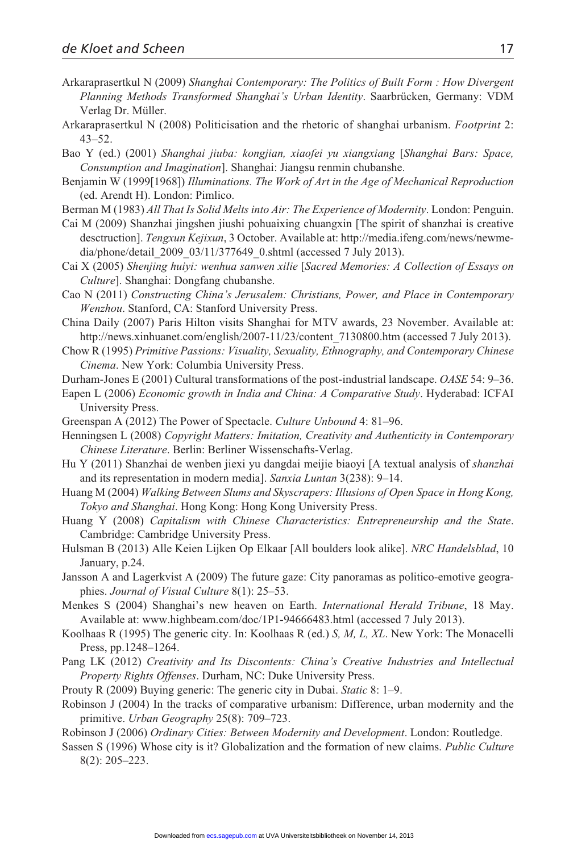- Arkaraprasertkul N (2009) *Shanghai Contemporary: The Politics of Built Form : How Divergent Planning Methods Transformed Shanghai's Urban Identity*. Saarbrücken, Germany: VDM Verlag Dr. Müller.
- Arkaraprasertkul N (2008) Politicisation and the rhetoric of shanghai urbanism. *Footprint* 2: 43–52.
- Bao Y (ed.) (2001) *Shanghai jiuba: kongjian, xiaofei yu xiangxiang* [*Shanghai Bars: Space, Consumption and Imagination*]. Shanghai: Jiangsu renmin chubanshe.
- Benjamin W (1999[1968]) *Illuminations. The Work of Art in the Age of Mechanical Reproduction* (ed. Arendt H). London: Pimlico.
- Berman M (1983) *All That Is Solid Melts into Air: The Experience of Modernity*. London: Penguin.
- Cai M (2009) Shanzhai jingshen jiushi pohuaixing chuangxin [The spirit of shanzhai is creative desctruction]. *Tengxun Kejixun*, 3 October. Available at: http://media.ifeng.com/news/newmedia/phone/detail\_2009\_03/11/377649\_0.shtml (accessed 7 July 2013).
- Cai X (2005) *Shenjing huiyi: wenhua sanwen xilie* [*Sacred Memories: A Collection of Essays on Culture*]. Shanghai: Dongfang chubanshe.
- Cao N (2011) *Constructing China's Jerusalem: Christians, Power, and Place in Contemporary Wenzhou*. Stanford, CA: Stanford University Press.
- China Daily (2007) Paris Hilton visits Shanghai for MTV awards, 23 November. Available at: http://news.xinhuanet.com/english/2007-11/23/content 7130800.htm (accessed 7 July 2013).
- Chow R (1995) *Primitive Passions: Visuality, Sexuality, Ethnography, and Contemporary Chinese Cinema*. New York: Columbia University Press.
- Durham-Jones E (2001) Cultural transformations of the post-industrial landscape. *OASE* 54: 9–36.
- Eapen L (2006) *Economic growth in India and China: A Comparative Study*. Hyderabad: ICFAI University Press.
- Greenspan A (2012) The Power of Spectacle. *Culture Unbound* 4: 81–96.
- Henningsen L (2008) *Copyright Matters: Imitation, Creativity and Authenticity in Contemporary Chinese Literature*. Berlin: Berliner Wissenschafts-Verlag.
- Hu Y (2011) Shanzhai de wenben jiexi yu dangdai meijie biaoyi [A textual analysis of *shanzhai* and its representation in modern media]. *Sanxia Luntan* 3(238): 9–14.
- Huang M (2004) *Walking Between Slums and Skyscrapers: Illusions of Open Space in Hong Kong, Tokyo and Shanghai*. Hong Kong: Hong Kong University Press.
- Huang Y (2008) *Capitalism with Chinese Characteristics: Entrepreneurship and the State*. Cambridge: Cambridge University Press.
- Hulsman B (2013) Alle Keien Lijken Op Elkaar [All boulders look alike]. *NRC Handelsblad*, 10 January, p.24.
- Jansson A and Lagerkvist A (2009) The future gaze: City panoramas as politico-emotive geographies. *Journal of Visual Culture* 8(1): 25–53.
- Menkes S (2004) Shanghai's new heaven on Earth. *International Herald Tribune*, 18 May. Available at: www.highbeam.com/doc/1P1-94666483.html (accessed 7 July 2013).
- Koolhaas R (1995) The generic city. In: Koolhaas R (ed.) *S, M, L, XL*. New York: The Monacelli Press, pp.1248–1264.
- Pang LK (2012) *Creativity and Its Discontents: China's Creative Industries and Intellectual Property Rights Offenses*. Durham, NC: Duke University Press.
- Prouty R (2009) Buying generic: The generic city in Dubai. *Static* 8: 1–9.
- Robinson J (2004) In the tracks of comparative urbanism: Difference, urban modernity and the primitive. *Urban Geography* 25(8): 709–723.
- Robinson J (2006) *Ordinary Cities: Between Modernity and Development*. London: Routledge.
- Sassen S (1996) Whose city is it? Globalization and the formation of new claims. *Public Culture* 8(2): 205–223.